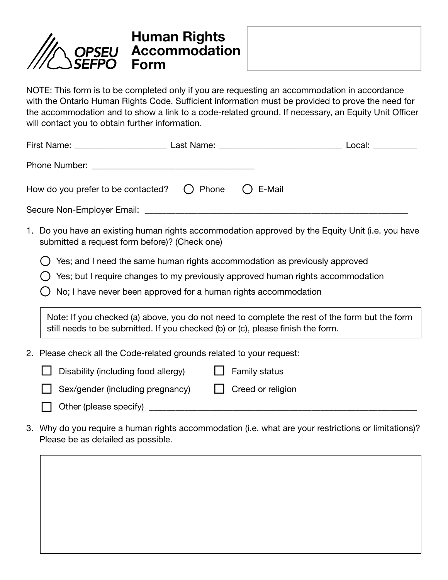

## Human Rights Accommodation Form

NOTE: This form is to be completed only if you are requesting an accommodation in accordance with the Ontario Human Rights Code. Sufficient information must be provided to prove the need for the accommodation and to show a link to a code-related ground. If necessary, an Equity Unit Officer will contact you to obtain further information.

| How do you prefer to be contacted? $\bigcirc$ Phone                                                                                               |              | $O$ E-Mail                                                                                    |  |
|---------------------------------------------------------------------------------------------------------------------------------------------------|--------------|-----------------------------------------------------------------------------------------------|--|
|                                                                                                                                                   |              |                                                                                               |  |
| 1. Do you have an existing human rights accommodation approved by the Equity Unit (i.e. you have<br>submitted a request form before)? (Check one) |              |                                                                                               |  |
|                                                                                                                                                   |              | Yes; and I need the same human rights accommodation as previously approved                    |  |
|                                                                                                                                                   |              | Yes; but I require changes to my previously approved human rights accommodation               |  |
| No; I have never been approved for a human rights accommodation                                                                                   |              |                                                                                               |  |
| still needs to be submitted. If you checked (b) or (c), please finish the form.                                                                   |              | Note: If you checked (a) above, you do not need to complete the rest of the form but the form |  |
| 2. Please check all the Code-related grounds related to your request:                                                                             |              |                                                                                               |  |
| Disability (including food allergy)                                                                                                               | $\mathbf{L}$ | <b>Family status</b>                                                                          |  |
| Sex/gender (including pregnancy)                                                                                                                  |              | Creed or religion                                                                             |  |
| Other (please specify) __________                                                                                                                 |              |                                                                                               |  |

3. Why do you require a human rights accommodation (i.e. what are your restrictions or limitations)? Please be as detailed as possible.